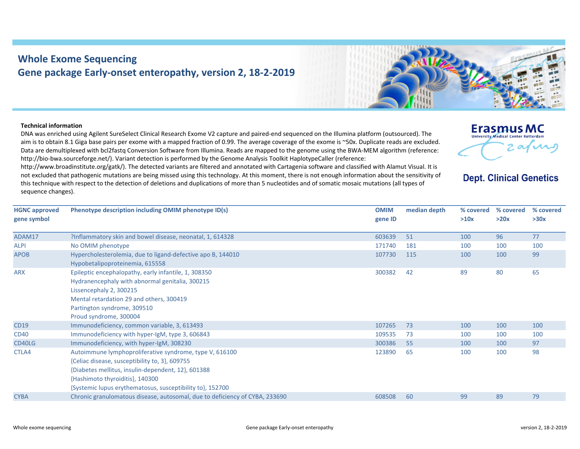## **Whole Exome Sequencing Gene package Early‐onset enteropathy, version 2, 18‐2‐2019**

## **Technical information**

**HGNC approved gene symbol**

DNA was enriched using Agilent SureSelect Clinical Research Exome V2 capture and paired‐end sequenced on the Illumina platform (outsourced). The aim is to obtain 8.1 Giga base pairs per exome with <sup>a</sup> mapped fraction of 0.99. The average coverage of the exome is ~50x. Duplicate reads are excluded. Data are demultiplexed with bcl2fastq Conversion Software from Illumina. Reads are mapped to the genome using the BWA‐MEM algorithm (reference: http://bio-bwa.sourceforge.net/). Variant detection is performed by the Genome Analysis Toolkit HaplotypeCaller (reference:

http://www.broadinstitute.org/gatk/). The detected variants are filtered and annotated with Cartagenia software and classified with Alamut Visual. It is not excluded that pathogenic mutations are being missed using this technology. At this moment, there is not enough information about the sensitivity of this technique with respect to the detection of deletions and duplications of more than 5 nucleotides and of somatic mosaic mutations (all types of sequence changes).

**Phenotype description including OMIM phenotype ID(s) OMIM gene ID median depth % covered % covered % covered >10x**o OMIM

| ADAM17      | ?Inflammatory skin and bowel disease, neonatal, 1, 614328                   | 603639 | -51 | 100 | 96  | 77  |
|-------------|-----------------------------------------------------------------------------|--------|-----|-----|-----|-----|
| <b>ALPI</b> | No OMIM phenotype                                                           | 171740 | 181 | 100 | 100 | 100 |
| <b>APOB</b> | Hypercholesterolemia, due to ligand-defective apo B, 144010                 | 107730 | 115 | 100 | 100 | 99  |
|             | Hypobetalipoproteinemia, 615558                                             |        |     |     |     |     |
| <b>ARX</b>  | Epileptic encephalopathy, early infantile, 1, 308350                        | 300382 | 42  | 89  | 80  | 65  |
|             | Hydranencephaly with abnormal genitalia, 300215                             |        |     |     |     |     |
|             | Lissencephaly 2, 300215                                                     |        |     |     |     |     |
|             | Mental retardation 29 and others, 300419                                    |        |     |     |     |     |
|             | Partington syndrome, 309510                                                 |        |     |     |     |     |
|             | Proud syndrome, 300004                                                      |        |     |     |     |     |
| <b>CD19</b> | Immunodeficiency, common variable, 3, 613493                                | 107265 | 73  | 100 | 100 | 100 |
| <b>CD40</b> | Immunodeficiency with hyper-lgM, type 3, 606843                             | 109535 | 73  | 100 | 100 | 100 |
| CD40LG      | Immunodeficiency, with hyper-IgM, 308230                                    | 300386 | 55  | 100 | 100 | 97  |
| CTLA4       | Autoimmune lymphoproliferative syndrome, type V, 616100                     | 123890 | -65 | 100 | 100 | 98  |
|             | {Celiac disease, susceptibility to, 3}, 609755                              |        |     |     |     |     |
|             | {Diabetes mellitus, insulin-dependent, 12}, 601388                          |        |     |     |     |     |
|             | {Hashimoto thyroiditis}, 140300                                             |        |     |     |     |     |
|             | {Systemic lupus erythematosus, susceptibility to}, 152700                   |        |     |     |     |     |
| <b>CYBA</b> | Chronic granulomatous disease, autosomal, due to deficiency of CYBA, 233690 | 608508 | 60  | 99  | 89  | 79  |
|             |                                                                             |        |     |     |     |     |



## **Erasmus MC** University Medical Center Rotterdan 2 avril

**Dept. Clinical Genetics** 

**>30x**

**>20x**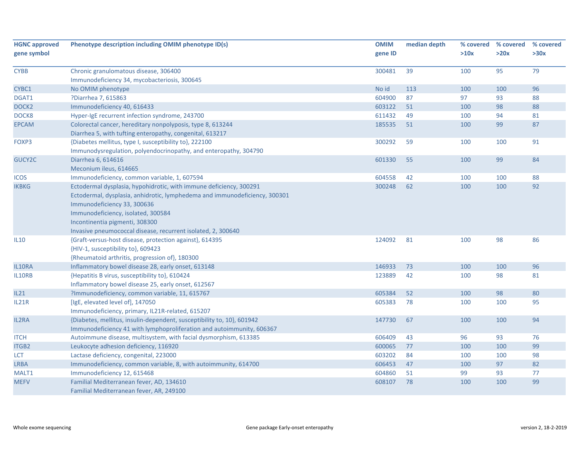| <b>HGNC approved</b> | Phenotype description including OMIM phenotype ID(s)                       | <b>OMIM</b> | median depth | % covered | % covered | % covered |
|----------------------|----------------------------------------------------------------------------|-------------|--------------|-----------|-----------|-----------|
| gene symbol          |                                                                            | gene ID     |              | >10x      | >20x      | >30x      |
| <b>CYBB</b>          | Chronic granulomatous disease, 306400                                      | 300481      | 39           | 100       | 95        | 79        |
|                      | Immunodeficiency 34, mycobacteriosis, 300645                               |             |              |           |           |           |
| CYBC1                | No OMIM phenotype                                                          | No id       | 113          | 100       | 100       | 96        |
| DGAT1                | ?Diarrhea 7, 615863                                                        | 604900      | 87           | 97        | 93        | 88        |
| DOCK <sub>2</sub>    | Immunodeficiency 40, 616433                                                | 603122      | 51           | 100       | 98        | 88        |
| DOCK8                | Hyper-IgE recurrent infection syndrome, 243700                             | 611432      | 49           | 100       | 94        | 81        |
| <b>EPCAM</b>         | Colorectal cancer, hereditary nonpolyposis, type 8, 613244                 | 185535      | 51           | 100       | 99        | 87        |
|                      | Diarrhea 5, with tufting enteropathy, congenital, 613217                   |             |              |           |           |           |
| FOXP3                | {Diabetes mellitus, type I, susceptibility to}, 222100                     | 300292      | 59           | 100       | 100       | 91        |
|                      | Immunodysregulation, polyendocrinopathy, and enteropathy, 304790           |             |              |           |           |           |
| GUCY2C               | Diarrhea 6, 614616                                                         | 601330      | 55           | 100       | 99        | 84        |
|                      | Meconium ileus, 614665                                                     |             |              |           |           |           |
| <b>ICOS</b>          | Immunodeficiency, common variable, 1, 607594                               | 604558      | 42           | 100       | 100       | 88        |
| <b>IKBKG</b>         | Ectodermal dysplasia, hypohidrotic, with immune deficiency, 300291         | 300248      | 62           | 100       | 100       | 92        |
|                      | Ectodermal, dysplasia, anhidrotic, lymphedema and immunodeficiency, 300301 |             |              |           |           |           |
|                      | Immunodeficiency 33, 300636                                                |             |              |           |           |           |
|                      | Immunodeficiency, isolated, 300584                                         |             |              |           |           |           |
|                      | Incontinentia pigmenti, 308300                                             |             |              |           |           |           |
|                      | Invasive pneumococcal disease, recurrent isolated, 2, 300640               |             |              |           |           |           |
| <b>IL10</b>          | {Graft-versus-host disease, protection against}, 614395                    | 124092      | 81           | 100       | 98        | 86        |
|                      | {HIV-1, susceptibility to}, 609423                                         |             |              |           |           |           |
|                      | {Rheumatoid arthritis, progression of}, 180300                             |             |              |           |           |           |
| IL10RA               | Inflammatory bowel disease 28, early onset, 613148                         | 146933      | 73           | 100       | 100       | 96        |
| IL10RB               | {Hepatitis B virus, susceptibility to}, 610424                             | 123889      | 42           | 100       | 98        | 81        |
|                      | Inflammatory bowel disease 25, early onset, 612567                         |             |              |           |           |           |
| IL21                 | ?Immunodeficiency, common variable, 11, 615767                             | 605384      | 52           | 100       | 98        | 80        |
| IL21R                | [IgE, elevated level of], 147050                                           | 605383      | 78           | 100       | 100       | 95        |
|                      | Immunodeficiency, primary, IL21R-related, 615207                           |             |              |           |           |           |
| IL2RA                | {Diabetes, mellitus, insulin-dependent, susceptibility to, 10}, 601942     | 147730      | 67           | 100       | 100       | 94        |
|                      | Immunodeficiency 41 with lymphoproliferation and autoimmunity, 606367      |             |              |           |           |           |
| <b>ITCH</b>          | Autoimmune disease, multisystem, with facial dysmorphism, 613385           | 606409      | 43           | 96        | 93        | 76        |
| <b>ITGB2</b>         | Leukocyte adhesion deficiency, 116920                                      | 600065      | 77           | 100       | 100       | 99        |
| <b>LCT</b>           | Lactase deficiency, congenital, 223000                                     | 603202      | 84           | 100       | 100       | 98        |
| <b>LRBA</b>          | Immunodeficiency, common variable, 8, with autoimmunity, 614700            | 606453      | 47           | 100       | 97        | 82        |
| MALT1                | Immunodeficiency 12, 615468                                                | 604860      | 51           | 99        | 93        | 77        |
| <b>MEFV</b>          | Familial Mediterranean fever, AD, 134610                                   | 608107      | 78           | 100       | 100       | 99        |
|                      | Familial Mediterranean fever, AR, 249100                                   |             |              |           |           |           |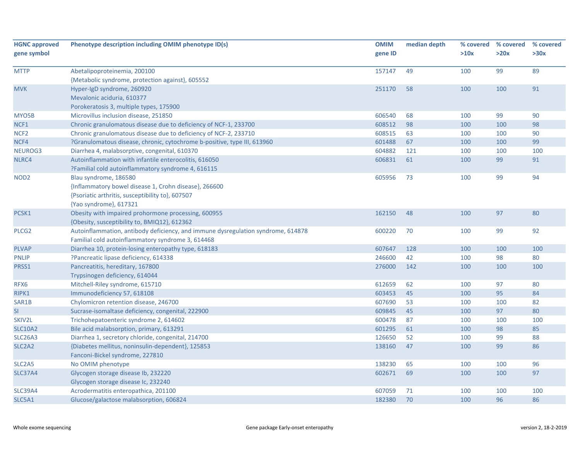| <b>HGNC approved</b><br>gene symbol | Phenotype description including OMIM phenotype ID(s)                             | <b>OMIM</b><br>gene ID | median depth | % covered<br>>10x | % covered<br>>20x | % covered<br>>30x |
|-------------------------------------|----------------------------------------------------------------------------------|------------------------|--------------|-------------------|-------------------|-------------------|
|                                     |                                                                                  |                        | 49           |                   | 99                | 89                |
| <b>MTTP</b>                         | Abetalipoproteinemia, 200100                                                     | 157147                 |              | 100               |                   |                   |
| <b>MVK</b>                          | {Metabolic syndrome, protection against}, 605552<br>Hyper-IgD syndrome, 260920   | 251170                 | 58           | 100               | 100               | 91                |
|                                     | Mevalonic aciduria, 610377                                                       |                        |              |                   |                   |                   |
|                                     | Porokeratosis 3, multiple types, 175900                                          |                        |              |                   |                   |                   |
| MYO5B                               | Microvillus inclusion disease, 251850                                            | 606540                 | 68           | 100               | 99                | 90                |
| NCF1                                | Chronic granulomatous disease due to deficiency of NCF-1, 233700                 | 608512                 | 98           | 100               | 100               | 98                |
| NCF <sub>2</sub>                    | Chronic granulomatous disease due to deficiency of NCF-2, 233710                 | 608515                 | 63           | 100               | 100               | 90                |
| NCF4                                | ?Granulomatous disease, chronic, cytochrome b-positive, type III, 613960         | 601488                 | 67           | 100               | 100               | 99                |
| NEUROG3                             | Diarrhea 4, malabsorptive, congenital, 610370                                    | 604882                 | 121          | 100               | 100               | 100               |
| NLRC4                               | Autoinflammation with infantile enterocolitis, 616050                            | 606831                 | 61           | 100               | 99                | 91                |
|                                     | ?Familial cold autoinflammatory syndrome 4, 616115                               |                        |              |                   |                   |                   |
| NOD <sub>2</sub>                    | Blau syndrome, 186580                                                            | 605956                 | 73           | 100               | 99                | 94                |
|                                     | {Inflammatory bowel disease 1, Crohn disease}, 266600                            |                        |              |                   |                   |                   |
|                                     | {Psoriatic arthritis, susceptibility to}, 607507                                 |                        |              |                   |                   |                   |
|                                     | {Yao syndrome}, 617321                                                           |                        |              |                   |                   |                   |
| PCSK1                               | Obesity with impaired prohormone processing, 600955                              | 162150                 | 48           | 100               | 97                | 80                |
|                                     | {Obesity, susceptibility to, BMIQ12}, 612362                                     |                        |              |                   |                   |                   |
| PLCG <sub>2</sub>                   | Autoinflammation, antibody deficiency, and immune dysregulation syndrome, 614878 | 600220                 | 70           | 100               | 99                | 92                |
|                                     | Familial cold autoinflammatory syndrome 3, 614468                                |                        |              |                   |                   |                   |
| <b>PLVAP</b>                        | Diarrhea 10, protein-losing enteropathy type, 618183                             | 607647                 | 128          | 100               | 100               | 100               |
| <b>PNLIP</b>                        | ?Pancreatic lipase deficiency, 614338                                            | 246600                 | 42           | 100               | 98                | 80                |
| PRSS1                               | Pancreatitis, hereditary, 167800                                                 | 276000                 | 142          | 100               | 100               | 100               |
|                                     | Trypsinogen deficiency, 614044                                                   |                        |              |                   |                   |                   |
| RFX6                                | Mitchell-Riley syndrome, 615710                                                  | 612659                 | 62           | 100               | 97                | 80                |
| RIPK1                               | Immunodeficiency 57, 618108                                                      | 603453                 | 45           | 100               | 95                | 84                |
| SAR1B                               | Chylomicron retention disease, 246700                                            | 607690                 | 53           | 100               | 100               | 82                |
| <b>SI</b>                           | Sucrase-isomaltase deficiency, congenital, 222900                                | 609845                 | 45           | 100               | 97                | 80                |
| SKIV2L                              | Trichohepatoenteric syndrome 2, 614602                                           | 600478                 | 87           | 100               | 100               | 100               |
| <b>SLC10A2</b>                      | Bile acid malabsorption, primary, 613291                                         | 601295                 | 61           | 100               | 98                | 85                |
| <b>SLC26A3</b>                      | Diarrhea 1, secretory chloride, congenital, 214700                               | 126650                 | 52           | 100               | 99                | 88                |
| SLC <sub>2</sub> A <sub>2</sub>     | {Diabetes mellitus, noninsulin-dependent}, 125853                                | 138160                 | 47           | 100               | 99                | 86                |
|                                     | Fanconi-Bickel syndrome, 227810                                                  |                        |              |                   |                   |                   |
| SLC <sub>2</sub> A <sub>5</sub>     | No OMIM phenotype                                                                | 138230                 | 65           | 100               | 100               | 96                |
| <b>SLC37A4</b>                      | Glycogen storage disease Ib, 232220                                              | 602671                 | 69           | 100               | 100               | 97                |
|                                     | Glycogen storage disease Ic, 232240                                              |                        |              |                   |                   |                   |
| <b>SLC39A4</b>                      | Acrodermatitis enteropathica, 201100                                             | 607059                 | 71           | 100               | 100               | 100               |
| SLC5A1                              | Glucose/galactose malabsorption, 606824                                          | 182380                 | 70           | 100               | 96                | 86                |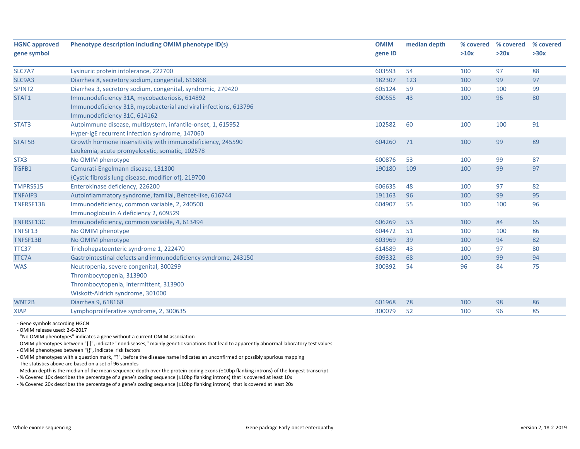| <b>HGNC approved</b><br>gene symbol | Phenotype description including OMIM phenotype ID(s)                                                                                              | <b>OMIM</b><br>gene ID | median depth | % covered<br>>10x | % covered<br>>20x | % covered<br>>30x |
|-------------------------------------|---------------------------------------------------------------------------------------------------------------------------------------------------|------------------------|--------------|-------------------|-------------------|-------------------|
| SLC7A7                              | Lysinuric protein intolerance, 222700                                                                                                             | 603593                 | 54           | 100               | 97                | 88                |
| SLC9A3                              | Diarrhea 8, secretory sodium, congenital, 616868                                                                                                  | 182307                 | 123          | 100               | 99                | 97                |
| SPINT <sub>2</sub>                  | Diarrhea 3, secretory sodium, congenital, syndromic, 270420                                                                                       | 605124                 | 59           | 100               | 100               | 99                |
| STAT1                               | Immunodeficiency 31A, mycobacteriosis, 614892<br>Immunodeficiency 31B, mycobacterial and viral infections, 613796<br>Immunodeficiency 31C, 614162 | 600555                 | 43           | 100               | 96                | 80                |
| STAT3                               | Autoimmune disease, multisystem, infantile-onset, 1, 615952<br>Hyper-IgE recurrent infection syndrome, 147060                                     | 102582                 | 60           | 100               | 100               | 91                |
| STAT5B                              | Growth hormone insensitivity with immunodeficiency, 245590<br>Leukemia, acute promyelocytic, somatic, 102578                                      | 604260                 | 71           | 100               | 99                | 89                |
| STX <sub>3</sub>                    | No OMIM phenotype                                                                                                                                 | 600876                 | 53           | 100               | 99                | 87                |
| TGFB1                               | Camurati-Engelmann disease, 131300<br>{Cystic fibrosis lung disease, modifier of}, 219700                                                         | 190180                 | 109          | 100               | 99                | 97                |
| TMPRSS15                            | Enterokinase deficiency, 226200                                                                                                                   | 606635                 | 48           | 100               | 97                | 82                |
| <b>TNFAIP3</b>                      | Autoinflammatory syndrome, familial, Behcet-like, 616744                                                                                          | 191163                 | 96           | 100               | 99                | 95                |
| TNFRSF13B                           | Immunodeficiency, common variable, 2, 240500<br>Immunoglobulin A deficiency 2, 609529                                                             | 604907                 | 55           | 100               | 100               | 96                |
| TNFRSF13C                           | Immunodeficiency, common variable, 4, 613494                                                                                                      | 606269                 | 53           | 100               | 84                | 65                |
| TNFSF13                             | No OMIM phenotype                                                                                                                                 | 604472                 | 51           | 100               | 100               | 86                |
| TNFSF13B                            | No OMIM phenotype                                                                                                                                 | 603969                 | 39           | 100               | 94                | 82                |
| TTC37                               | Trichohepatoenteric syndrome 1, 222470                                                                                                            | 614589                 | 43           | 100               | 97                | 80                |
| TTC7A                               | Gastrointestinal defects and immunodeficiency syndrome, 243150                                                                                    | 609332                 | 68           | 100               | 99                | 94                |
| <b>WAS</b>                          | Neutropenia, severe congenital, 300299<br>Thrombocytopenia, 313900<br>Thrombocytopenia, intermittent, 313900<br>Wiskott-Aldrich syndrome, 301000  | 300392                 | 54           | 96                | 84                | 75                |
| WNT2B                               | Diarrhea 9, 618168                                                                                                                                | 601968                 | 78           | 100               | 98                | 86                |
| <b>XIAP</b>                         | Lymphoproliferative syndrome, 2, 300635                                                                                                           | 300079                 | 52           | 100               | 96                | 85                |

‐ Gene symbols according HGCN

‐ OMIM release used: 2‐6‐2017

‐ "No OMIM phenotypes" indicates <sup>a</sup> gene without <sup>a</sup> current OMIM association

‐ OMIM phenotypes between "[ ]", indicate "nondiseases," mainly genetic variations that lead to apparently abnormal laboratory test values

‐ OMIM phenotypes between "{}", indicate risk factors

‐ OMIM phenotypes with <sup>a</sup> question mark, "?", before the disease name indicates an unconfirmed or possibly spurious mapping

‐ The statistics above are based on <sup>a</sup> set of 96 samples

‐ Median depth is the median of the mean sequence depth over the protein coding exons (±10bp flanking introns) of the longest transcript

‐ % Covered 10x describes the percentage of <sup>a</sup> gene's coding sequence (±10bp flanking introns) that is covered at least 10x

‐ % Covered 20x describes the percentage of <sup>a</sup> gene's coding sequence (±10bp flanking introns) that is covered at least 20x